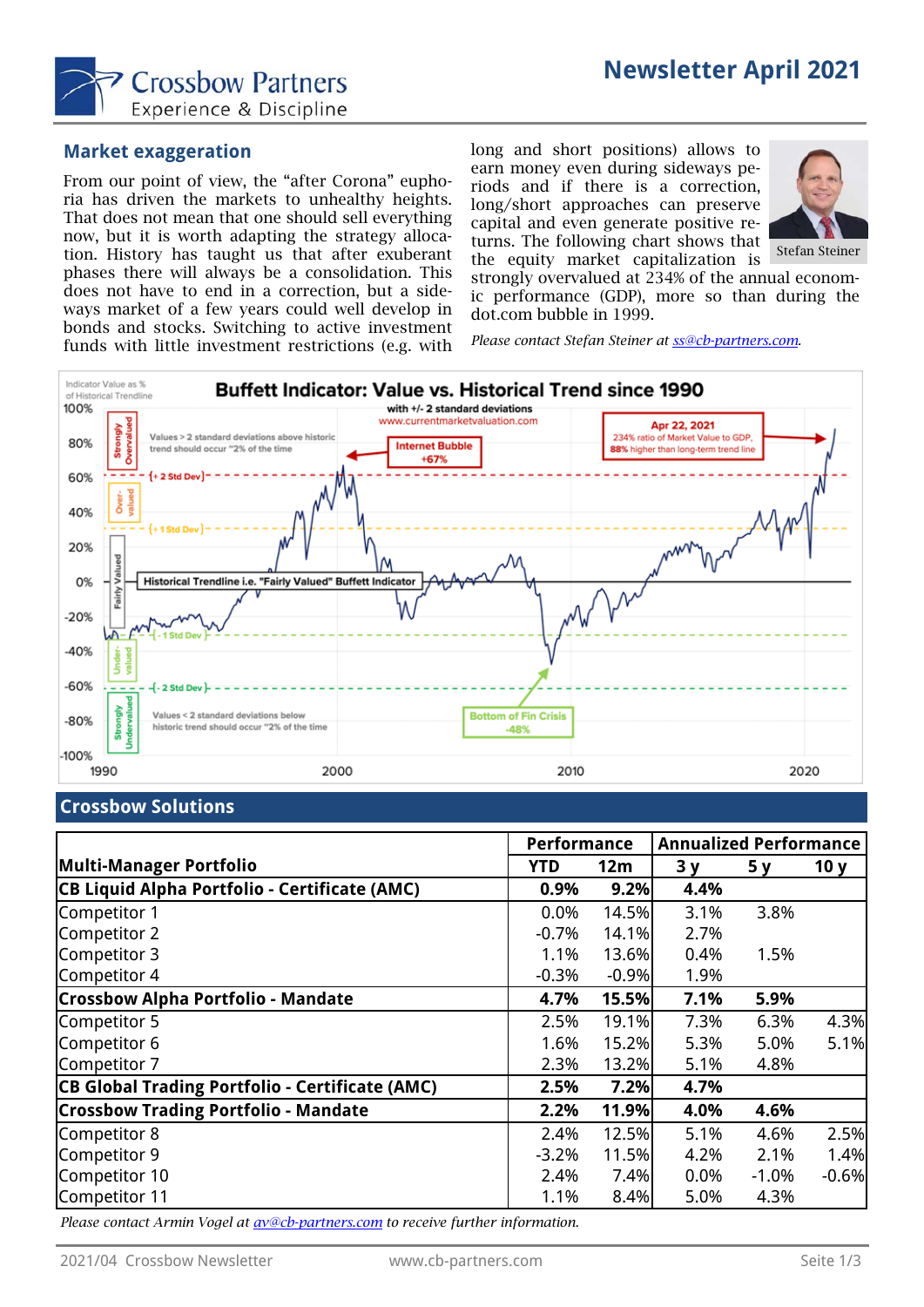

#### **Market exaggeration**

From our point of view, the "after Corona" euphoria has driven the markets to unhealthy heights. That does not mean that one should sell everything now, but it is worth adapting the strategy allocation. History has taught us that after exuberant phases there will always be a consolidation. This does not have to end in a correction, but a sideways market of a few years could well develop in bonds and stocks. Switching to active investment funds with little investment restrictions (e.g. with

long and short positions) allows to earn money even during sideways periods and if there is a correction, long/short approaches can preserve capital and even generate positive returns. The following chart shows that the equity market capitalization is



Stefan Steiner

strongly overvalued at 234% of the annual economic performance (GDP), more so than during the dot.com bubble in 1999.

*Please contact Stefan Steiner at ss@cb-partners.com.* 



#### **Crossbow Solutions**

|                                                        | Performance |         | <b>Annualized Performance</b> |         |                 |
|--------------------------------------------------------|-------------|---------|-------------------------------|---------|-----------------|
| Multi-Manager Portfolio                                | YTD         | 12m     | 3y                            | 5y      | 10 <sub>y</sub> |
| CB Liquid Alpha Portfolio - Certificate (AMC)          | 0.9%        | 9.2%    | 4.4%                          |         |                 |
| Competitor 1                                           | 0.0%        | 14.5%   | 3.1%                          | 3.8%    |                 |
| Competitor 2                                           | $-0.7%$     | 14.1%   | 2.7%                          |         |                 |
| Competitor 3                                           | 1.1%        | 13.6%   | 0.4%                          | 1.5%    |                 |
| Competitor 4                                           | $-0.3%$     | $-0.9%$ | 1.9%                          |         |                 |
| <b>Crossbow Alpha Portfolio - Mandate</b>              | 4.7%        | 15.5%   | 7.1%                          | 5.9%    |                 |
| Competitor 5                                           | 2.5%        | 19.1%   | 7.3%                          | 6.3%    | 4.3%            |
| Competitor 6                                           | 1.6%        | 15.2%   | 5.3%                          | 5.0%    | 5.1%            |
| Competitor 7                                           | 2.3%        | 13.2%   | 5.1%                          | 4.8%    |                 |
| <b>CB Global Trading Portfolio - Certificate (AMC)</b> | 2.5%        | 7.2%    | 4.7%                          |         |                 |
| <b>Crossbow Trading Portfolio - Mandate</b>            | 2.2%        | 11.9%   | 4.0%                          | 4.6%    |                 |
| Competitor 8                                           | 2.4%        | 12.5%   | 5.1%                          | 4.6%    | 2.5%            |
| Competitor 9                                           | $-3.2%$     | 11.5%   | 4.2%                          | 2.1%    | 1.4%            |
| Competitor 10                                          | 2.4%        | 7.4%    | $0.0\%$                       | $-1.0%$ | $-0.6%$         |
| Competitor 11                                          | 1.1%        | 8.4%    | 5.0%                          | 4.3%    |                 |

*Please contact Armin Vogel at av@cb-partners.com to receive further information.*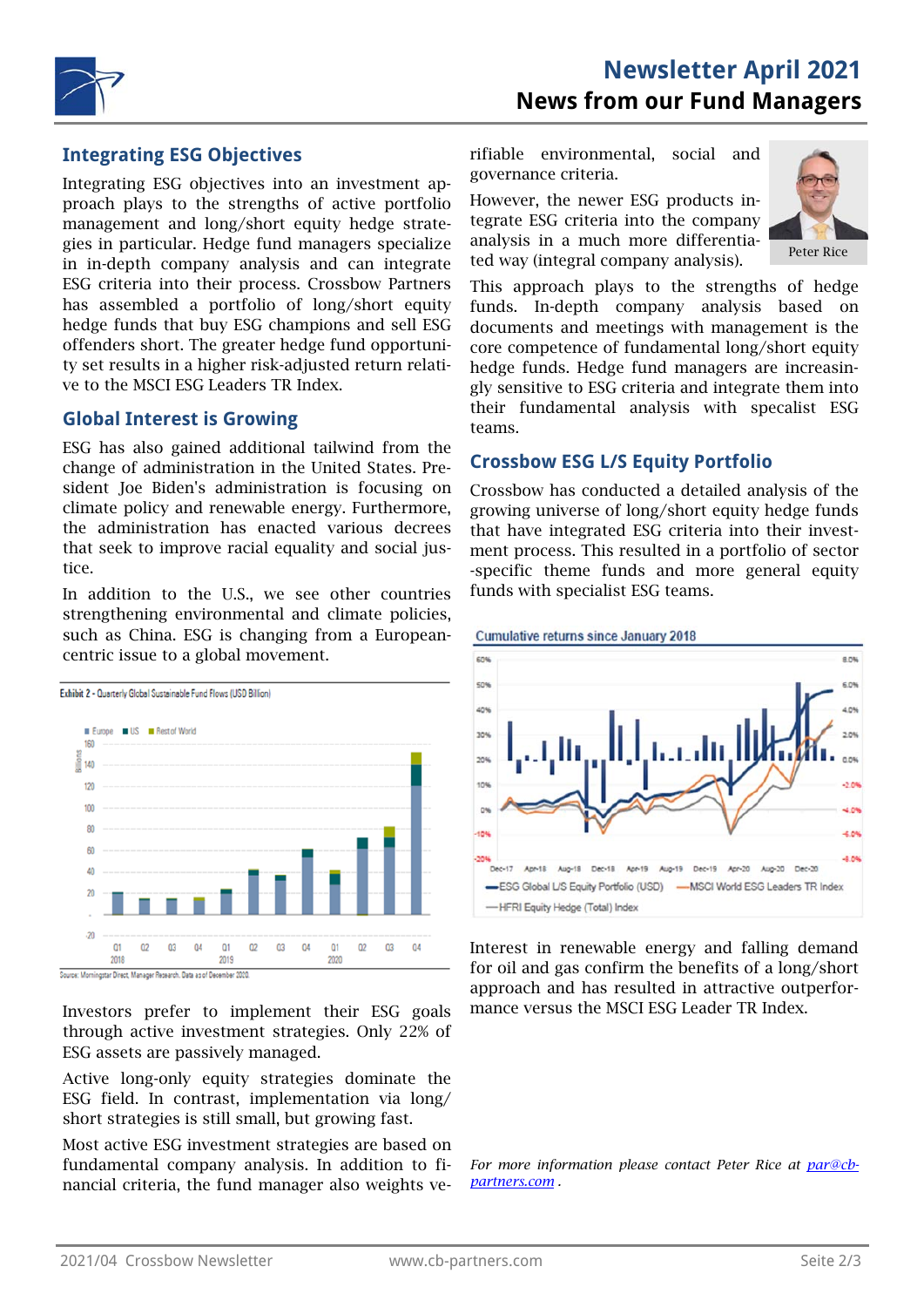

### **Integrating ESG Objectives**

Integrating ESG objectives into an investment approach plays to the strengths of active portfolio management and long/short equity hedge strategies in particular. Hedge fund managers specialize in in-depth company analysis and can integrate ESG criteria into their process. Crossbow Partners has assembled a portfolio of long/short equity hedge funds that buy ESG champions and sell ESG offenders short. The greater hedge fund opportunity set results in a higher risk-adjusted return relative to the MSCI ESG Leaders TR Index.

#### **Global Interest is Growing**

ESG has also gained additional tailwind from the change of administration in the United States. President Joe Biden's administration is focusing on climate policy and renewable energy. Furthermore, the administration has enacted various decrees that seek to improve racial equality and social justice.

In addition to the U.S., we see other countries strengthening environmental and climate policies, such as China. ESG is changing from a Europeancentric issue to a global movement.



Source: Morningstar Direct, Manager Research, Data as of December 2020

Investors prefer to implement their ESG goals through active investment strategies. Only 22% of ESG assets are passively managed.

Active long-only equity strategies dominate the ESG field. In contrast, implementation via long/ short strategies is still small, but growing fast.

Most active ESG investment strategies are based on fundamental company analysis. In addition to financial criteria, the fund manager also weights verifiable environmental, social and governance criteria.

However, the newer ESG products integrate ESG criteria into the company analysis in a much more differentiated way (integral company analysis).



This approach plays to the strengths of hedge funds. In-depth company analysis based on documents and meetings with management is the core competence of fundamental long/short equity hedge funds. Hedge fund managers are increasingly sensitive to ESG criteria and integrate them into their fundamental analysis with specalist ESG teams.

## **Crossbow ESG L/S Equity Portfolio**

Crossbow has conducted a detailed analysis of the growing universe of long/short equity hedge funds that have integrated ESG criteria into their investment process. This resulted in a portfolio of sector -specific theme funds and more general equity funds with specialist ESG teams.



Interest in renewable energy and falling demand for oil and gas confirm the benefits of a long/short approach and has resulted in attractive outperformance versus the MSCI ESG Leader TR Index.

*For more information please contact Peter Rice at par@cbpartners.com .*